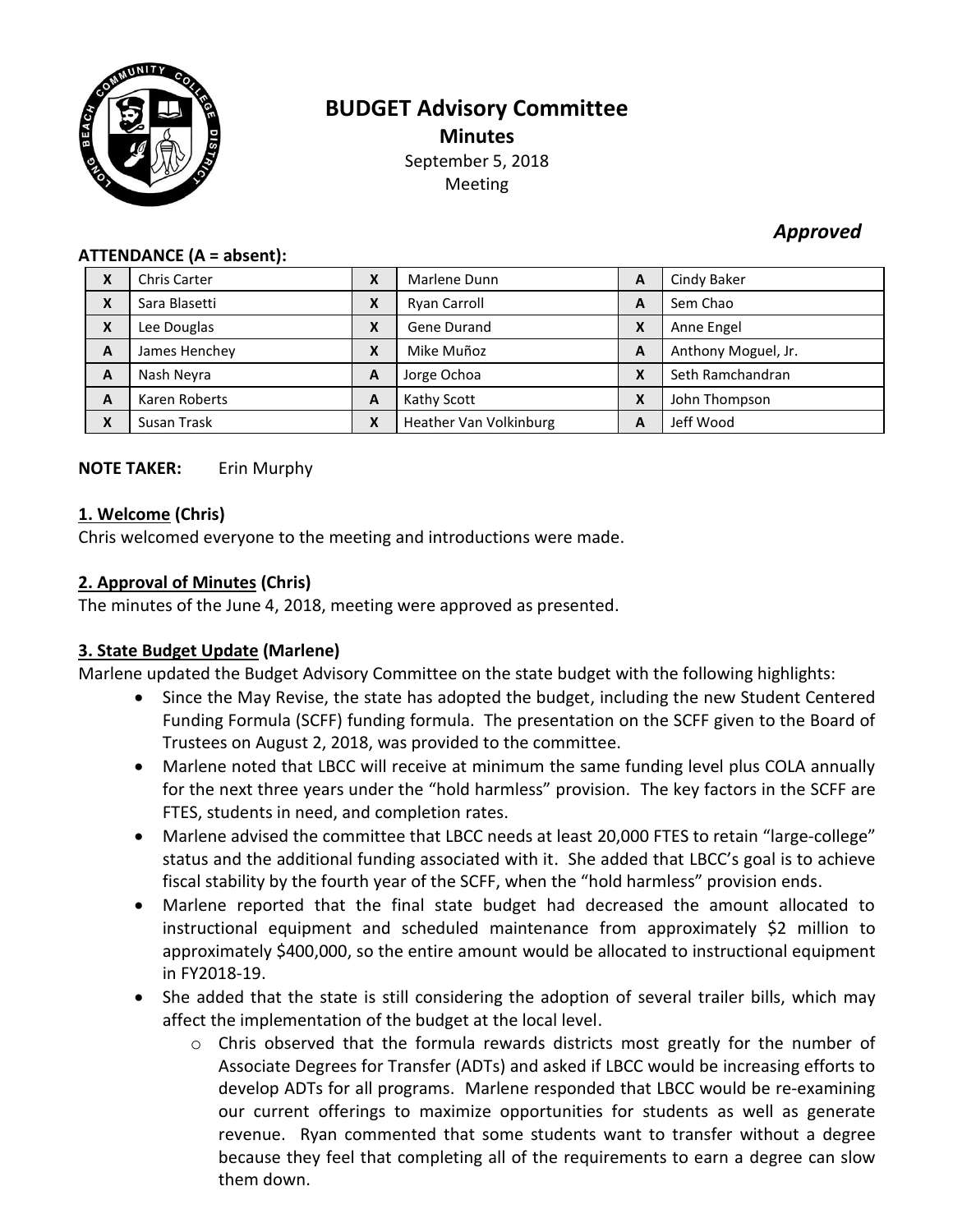

# **BUDGET Advisory Committee Minutes** September 5, 2018 Meeting

# *Approved*

#### **ATTENDANCE (A = absent):**

| X | <b>Chris Carter</b> | Χ | Marlene Dunn           | A | Cindy Baker         |
|---|---------------------|---|------------------------|---|---------------------|
| X | Sara Blasetti       | X | Ryan Carroll           | A | Sem Chao            |
| X | Lee Douglas         | Χ | Gene Durand            | X | Anne Engel          |
| A | James Henchey       | Χ | Mike Muñoz             | A | Anthony Moguel, Jr. |
| A | Nash Neyra          | A | Jorge Ochoa            | X | Seth Ramchandran    |
| A | Karen Roberts       | Α | Kathy Scott            | X | John Thompson       |
| X | Susan Trask         | X | Heather Van Volkinburg | A | Jeff Wood           |

## **NOTE TAKER:** Erin Murphy

## **1. Welcome (Chris)**

Chris welcomed everyone to the meeting and introductions were made.

## **2. Approval of Minutes (Chris)**

The minutes of the June 4, 2018, meeting were approved as presented.

# **3. State Budget Update (Marlene)**

Marlene updated the Budget Advisory Committee on the state budget with the following highlights:

- Since the May Revise, the state has adopted the budget, including the new Student Centered Funding Formula (SCFF) funding formula. The presentation on the SCFF given to the Board of Trustees on August 2, 2018, was provided to the committee.
- Marlene noted that LBCC will receive at minimum the same funding level plus COLA annually for the next three years under the "hold harmless" provision. The key factors in the SCFF are FTES, students in need, and completion rates.
- Marlene advised the committee that LBCC needs at least 20,000 FTES to retain "large-college" status and the additional funding associated with it. She added that LBCC's goal is to achieve fiscal stability by the fourth year of the SCFF, when the "hold harmless" provision ends.
- Marlene reported that the final state budget had decreased the amount allocated to instructional equipment and scheduled maintenance from approximately \$2 million to approximately \$400,000, so the entire amount would be allocated to instructional equipment in FY2018-19.
- She added that the state is still considering the adoption of several trailer bills, which may affect the implementation of the budget at the local level.
	- o Chris observed that the formula rewards districts most greatly for the number of Associate Degrees for Transfer (ADTs) and asked if LBCC would be increasing efforts to develop ADTs for all programs. Marlene responded that LBCC would be re-examining our current offerings to maximize opportunities for students as well as generate revenue. Ryan commented that some students want to transfer without a degree because they feel that completing all of the requirements to earn a degree can slow them down.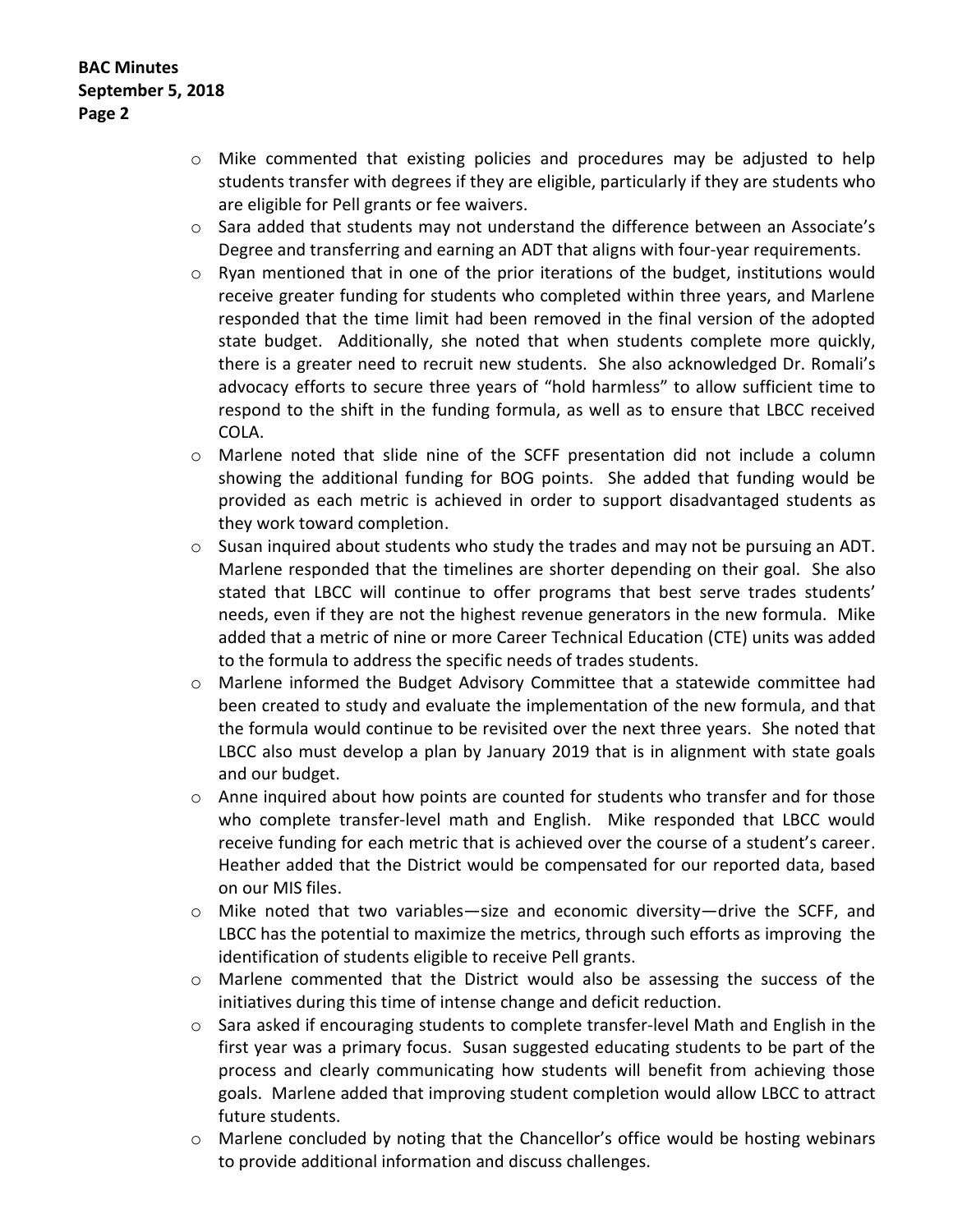- o Mike commented that existing policies and procedures may be adjusted to help students transfer with degrees if they are eligible, particularly if they are students who are eligible for Pell grants or fee waivers.
- $\circ$  Sara added that students may not understand the difference between an Associate's Degree and transferring and earning an ADT that aligns with four-year requirements.
- o Ryan mentioned that in one of the prior iterations of the budget, institutions would receive greater funding for students who completed within three years, and Marlene responded that the time limit had been removed in the final version of the adopted state budget. Additionally, she noted that when students complete more quickly, there is a greater need to recruit new students. She also acknowledged Dr. Romali's advocacy efforts to secure three years of "hold harmless" to allow sufficient time to respond to the shift in the funding formula, as well as to ensure that LBCC received COLA.
- o Marlene noted that slide nine of the SCFF presentation did not include a column showing the additional funding for BOG points. She added that funding would be provided as each metric is achieved in order to support disadvantaged students as they work toward completion.
- $\circ$  Susan inquired about students who study the trades and may not be pursuing an ADT. Marlene responded that the timelines are shorter depending on their goal. She also stated that LBCC will continue to offer programs that best serve trades students' needs, even if they are not the highest revenue generators in the new formula. Mike added that a metric of nine or more Career Technical Education (CTE) units was added to the formula to address the specific needs of trades students.
- o Marlene informed the Budget Advisory Committee that a statewide committee had been created to study and evaluate the implementation of the new formula, and that the formula would continue to be revisited over the next three years. She noted that LBCC also must develop a plan by January 2019 that is in alignment with state goals and our budget.
- $\circ$  Anne inquired about how points are counted for students who transfer and for those who complete transfer-level math and English. Mike responded that LBCC would receive funding for each metric that is achieved over the course of a student's career. Heather added that the District would be compensated for our reported data, based on our MIS files.
- o Mike noted that two variables—size and economic diversity—drive the SCFF, and LBCC has the potential to maximize the metrics, through such efforts as improving the identification of students eligible to receive Pell grants.
- o Marlene commented that the District would also be assessing the success of the initiatives during this time of intense change and deficit reduction.
- $\circ$  Sara asked if encouraging students to complete transfer-level Math and English in the first year was a primary focus. Susan suggested educating students to be part of the process and clearly communicating how students will benefit from achieving those goals. Marlene added that improving student completion would allow LBCC to attract future students.
- o Marlene concluded by noting that the Chancellor's office would be hosting webinars to provide additional information and discuss challenges.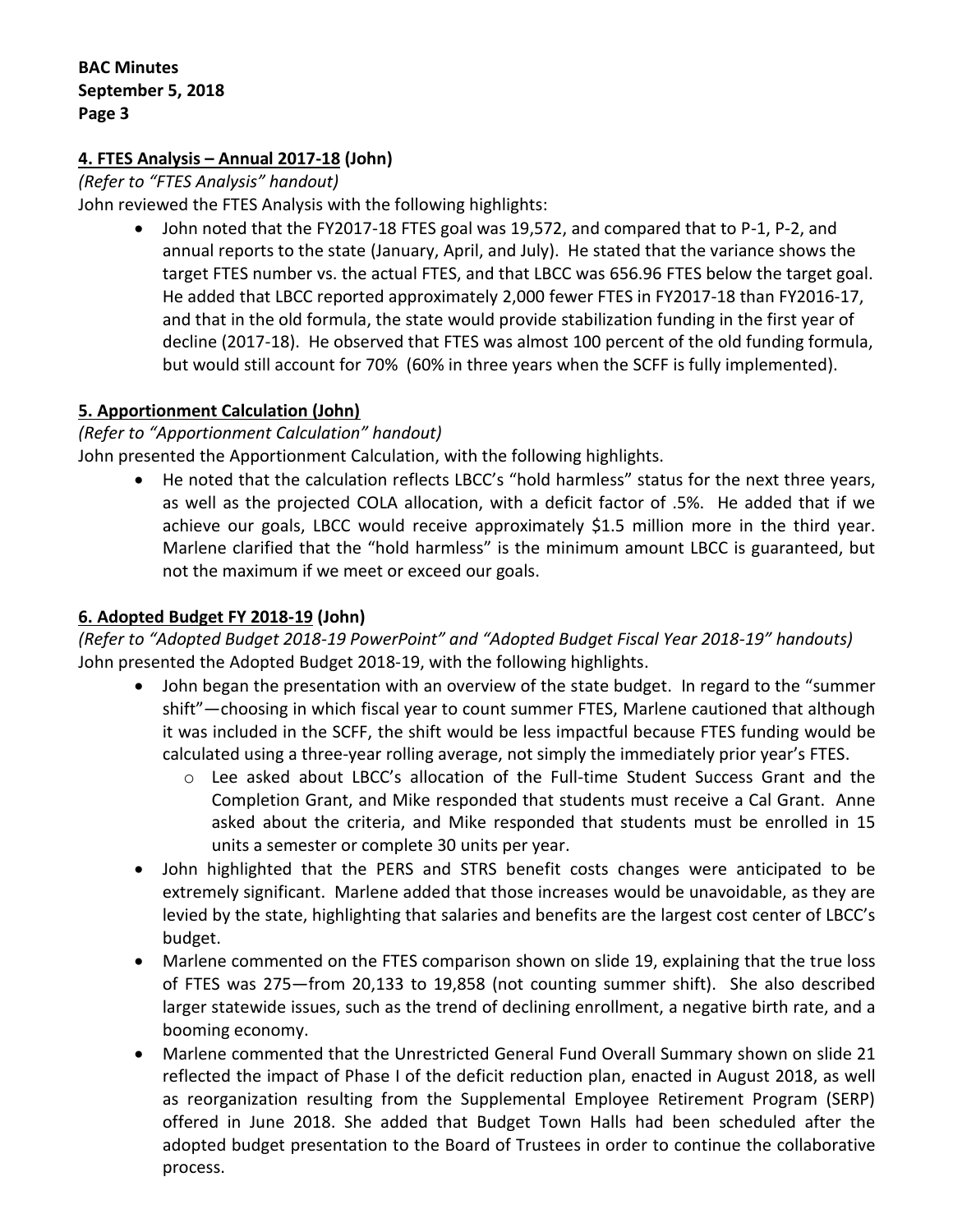## **4. FTES Analysis – Annual 2017-18 (John)**

*(Refer to "FTES Analysis" handout)*

John reviewed the FTES Analysis with the following highlights:

 John noted that the FY2017-18 FTES goal was 19,572, and compared that to P-1, P-2, and annual reports to the state (January, April, and July). He stated that the variance shows the target FTES number vs. the actual FTES, and that LBCC was 656.96 FTES below the target goal. He added that LBCC reported approximately 2,000 fewer FTES in FY2017-18 than FY2016-17, and that in the old formula, the state would provide stabilization funding in the first year of decline (2017-18). He observed that FTES was almost 100 percent of the old funding formula, but would still account for 70% (60% in three years when the SCFF is fully implemented).

## **5. Apportionment Calculation (John)**

*(Refer to "Apportionment Calculation" handout)*

John presented the Apportionment Calculation, with the following highlights.

 He noted that the calculation reflects LBCC's "hold harmless" status for the next three years, as well as the projected COLA allocation, with a deficit factor of .5%. He added that if we achieve our goals, LBCC would receive approximately \$1.5 million more in the third year. Marlene clarified that the "hold harmless" is the minimum amount LBCC is guaranteed, but not the maximum if we meet or exceed our goals.

## **6. Adopted Budget FY 2018-19 (John)**

*(Refer to "Adopted Budget 2018-19 PowerPoint" and "Adopted Budget Fiscal Year 2018-19" handouts)* John presented the Adopted Budget 2018-19, with the following highlights.

- John began the presentation with an overview of the state budget. In regard to the "summer shift"—choosing in which fiscal year to count summer FTES, Marlene cautioned that although it was included in the SCFF, the shift would be less impactful because FTES funding would be calculated using a three-year rolling average, not simply the immediately prior year's FTES.
	- o Lee asked about LBCC's allocation of the Full-time Student Success Grant and the Completion Grant, and Mike responded that students must receive a Cal Grant. Anne asked about the criteria, and Mike responded that students must be enrolled in 15 units a semester or complete 30 units per year.
- John highlighted that the PERS and STRS benefit costs changes were anticipated to be extremely significant. Marlene added that those increases would be unavoidable, as they are levied by the state, highlighting that salaries and benefits are the largest cost center of LBCC's budget.
- Marlene commented on the FTES comparison shown on slide 19, explaining that the true loss of FTES was 275—from 20,133 to 19,858 (not counting summer shift). She also described larger statewide issues, such as the trend of declining enrollment, a negative birth rate, and a booming economy.
- Marlene commented that the Unrestricted General Fund Overall Summary shown on slide 21 reflected the impact of Phase I of the deficit reduction plan, enacted in August 2018, as well as reorganization resulting from the Supplemental Employee Retirement Program (SERP) offered in June 2018. She added that Budget Town Halls had been scheduled after the adopted budget presentation to the Board of Trustees in order to continue the collaborative process.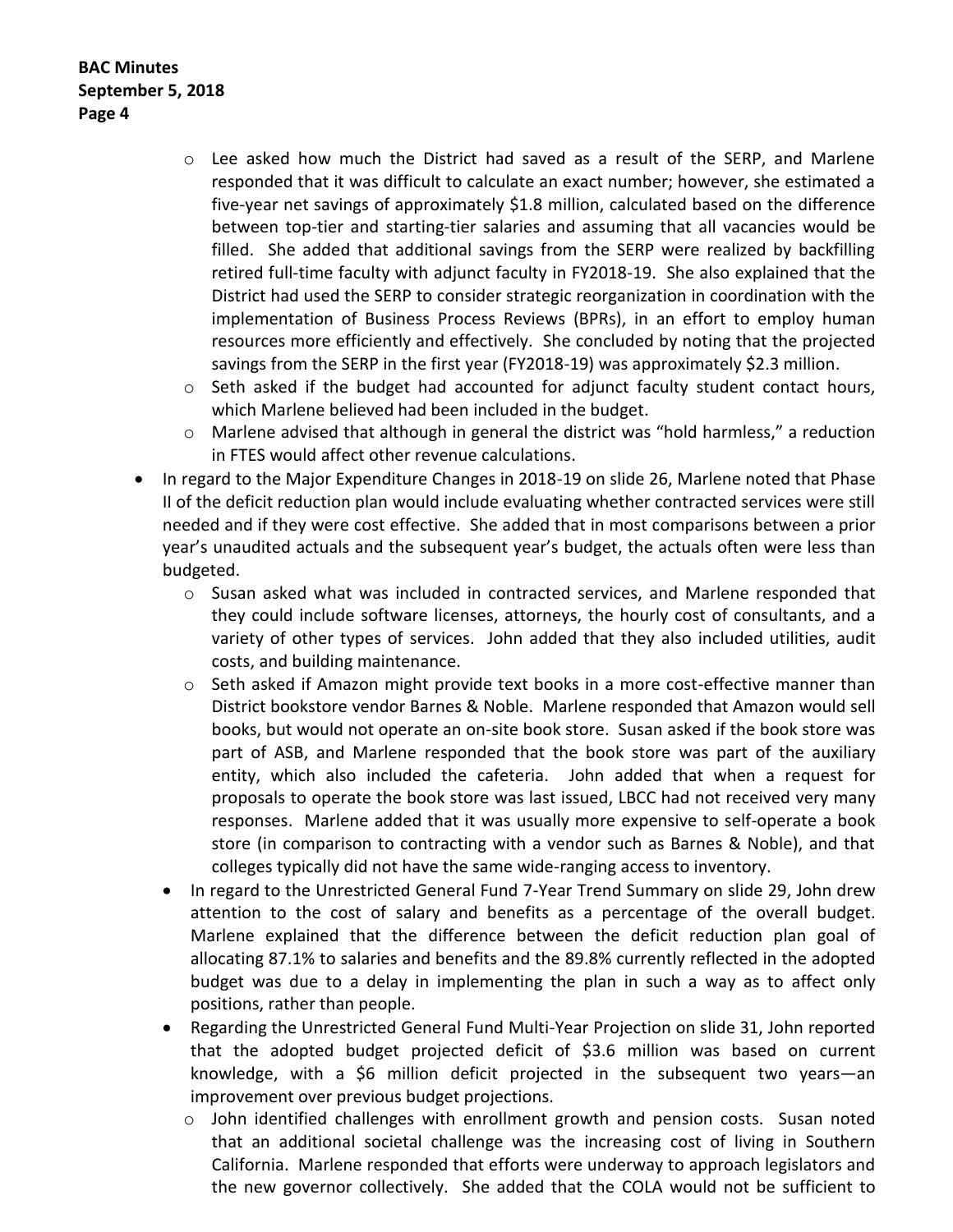**BAC Minutes September 5, 2018 Page 4**

- $\circ$  Lee asked how much the District had saved as a result of the SERP, and Marlene responded that it was difficult to calculate an exact number; however, she estimated a five-year net savings of approximately \$1.8 million, calculated based on the difference between top-tier and starting-tier salaries and assuming that all vacancies would be filled. She added that additional savings from the SERP were realized by backfilling retired full-time faculty with adjunct faculty in FY2018-19. She also explained that the District had used the SERP to consider strategic reorganization in coordination with the implementation of Business Process Reviews (BPRs), in an effort to employ human resources more efficiently and effectively. She concluded by noting that the projected savings from the SERP in the first year (FY2018-19) was approximately \$2.3 million.
- $\circ$  Seth asked if the budget had accounted for adjunct faculty student contact hours, which Marlene believed had been included in the budget.
- o Marlene advised that although in general the district was "hold harmless," a reduction in FTES would affect other revenue calculations.
- In regard to the Major Expenditure Changes in 2018-19 on slide 26, Marlene noted that Phase II of the deficit reduction plan would include evaluating whether contracted services were still needed and if they were cost effective. She added that in most comparisons between a prior year's unaudited actuals and the subsequent year's budget, the actuals often were less than budgeted.
	- $\circ$  Susan asked what was included in contracted services, and Marlene responded that they could include software licenses, attorneys, the hourly cost of consultants, and a variety of other types of services. John added that they also included utilities, audit costs, and building maintenance.
	- o Seth asked if Amazon might provide text books in a more cost-effective manner than District bookstore vendor Barnes & Noble. Marlene responded that Amazon would sell books, but would not operate an on-site book store. Susan asked if the book store was part of ASB, and Marlene responded that the book store was part of the auxiliary entity, which also included the cafeteria. John added that when a request for proposals to operate the book store was last issued, LBCC had not received very many responses. Marlene added that it was usually more expensive to self-operate a book store (in comparison to contracting with a vendor such as Barnes & Noble), and that colleges typically did not have the same wide-ranging access to inventory.
	- In regard to the Unrestricted General Fund 7-Year Trend Summary on slide 29, John drew attention to the cost of salary and benefits as a percentage of the overall budget. Marlene explained that the difference between the deficit reduction plan goal of allocating 87.1% to salaries and benefits and the 89.8% currently reflected in the adopted budget was due to a delay in implementing the plan in such a way as to affect only positions, rather than people.
	- Regarding the Unrestricted General Fund Multi-Year Projection on slide 31, John reported that the adopted budget projected deficit of \$3.6 million was based on current knowledge, with a \$6 million deficit projected in the subsequent two years—an improvement over previous budget projections.
		- $\circ$  John identified challenges with enrollment growth and pension costs. Susan noted that an additional societal challenge was the increasing cost of living in Southern California. Marlene responded that efforts were underway to approach legislators and the new governor collectively. She added that the COLA would not be sufficient to